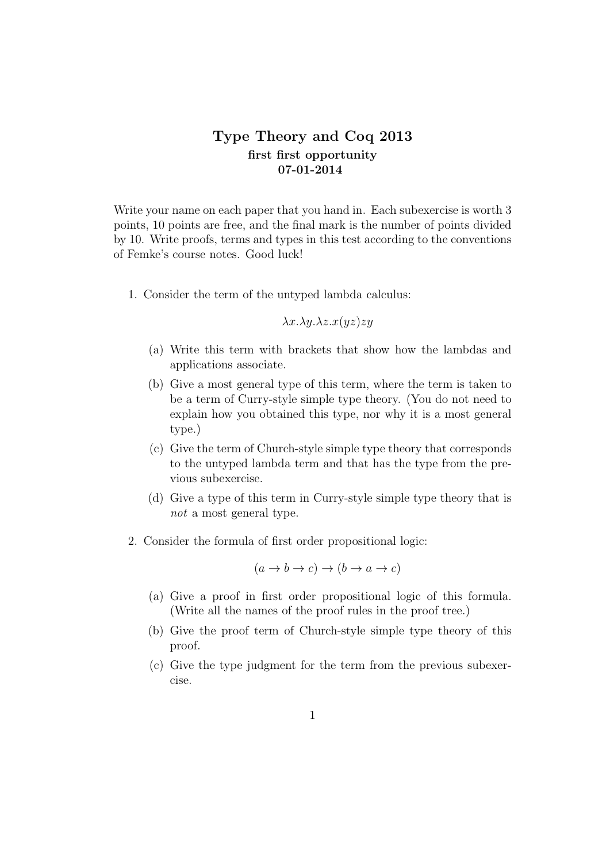## **Type Theory and Coq 2013 first first opportunity 07-01-2014**

Write your name on each paper that you hand in. Each subexercise is worth 3 points, 10 points are free, and the final mark is the number of points divided by 10. Write proofs, terms and types in this test according to the conventions of Femke's course notes. Good luck!

1. Consider the term of the untyped lambda calculus:

*λx.λy.λz.x*(*yz*)*zy*

- (a) Write this term with brackets that show how the lambdas and applications associate.
- (b) Give a most general type of this term, where the term is taken to be a term of Curry-style simple type theory. (You do not need to explain how you obtained this type, nor why it is a most general type.)
- (c) Give the term of Church-style simple type theory that corresponds to the untyped lambda term and that has the type from the previous subexercise.
- (d) Give a type of this term in Curry-style simple type theory that is *not* a most general type.
- 2. Consider the formula of first order propositional logic:

$$
(a \to b \to c) \to (b \to a \to c)
$$

- (a) Give a proof in first order propositional logic of this formula. (Write all the names of the proof rules in the proof tree.)
- (b) Give the proof term of Church-style simple type theory of this proof.
- (c) Give the type judgment for the term from the previous subexercise.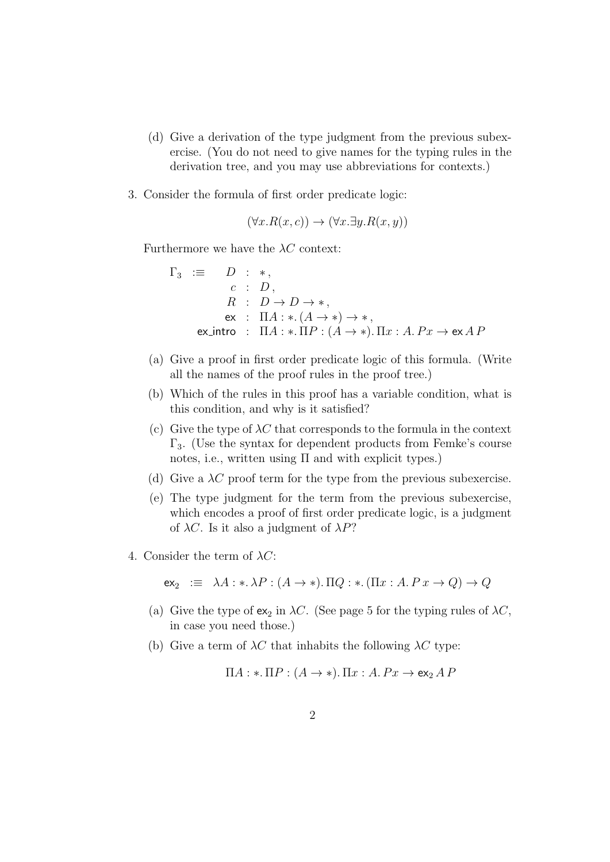- (d) Give a derivation of the type judgment from the previous subexercise. (You do not need to give names for the typing rules in the derivation tree, and you may use abbreviations for contexts.)
- 3. Consider the formula of first order predicate logic:

$$
(\forall x. R(x, c)) \rightarrow (\forall x. \exists y. R(x, y))
$$

Furthermore we have the *λC* context:

 $\Gamma_3 \equiv D : *$ *c* : *D ,*  $R$  :  $D \rightarrow D \rightarrow *$ , ex :  $\Pi A : * (A \to *) \to *$ ex\_intro :  $\Pi A : * \Pi P : (A \rightarrow *)$ .  $\Pi x : A P x \rightarrow e \times A P$ 

- (a) Give a proof in first order predicate logic of this formula. (Write all the names of the proof rules in the proof tree.)
- (b) Which of the rules in this proof has a variable condition, what is this condition, and why is it satisfied?
- (c) Give the type of  $\lambda C$  that corresponds to the formula in the context  $\Gamma_3$ . (Use the syntax for dependent products from Femke's course notes, i.e., written using  $\Pi$  and with explicit types.)
- (d) Give a  $\lambda C$  proof term for the type from the previous subexercise.
- (e) The type judgment for the term from the previous subexercise, which encodes a proof of first order predicate logic, is a judgment of *λC*. Is it also a judgment of *λP*?
- 4. Consider the term of *λC*:

 $ex_2 := \lambda A : * \lambda P : (A \rightarrow *)$ .  $\Pi Q : * ( \Pi x : A P x \rightarrow Q ) \rightarrow Q$ 

- (a) Give the type of  $ex_2$  in  $\lambda C$ . (See page 5 for the typing rules of  $\lambda C$ , in case you need those.)
- (b) Give a term of  $\lambda C$  that inhabits the following  $\lambda C$  type:

$$
\Pi A: \ast.\Pi P: (A \to \ast). \Pi x: A.Px \to \mathsf{ex}_2 A P
$$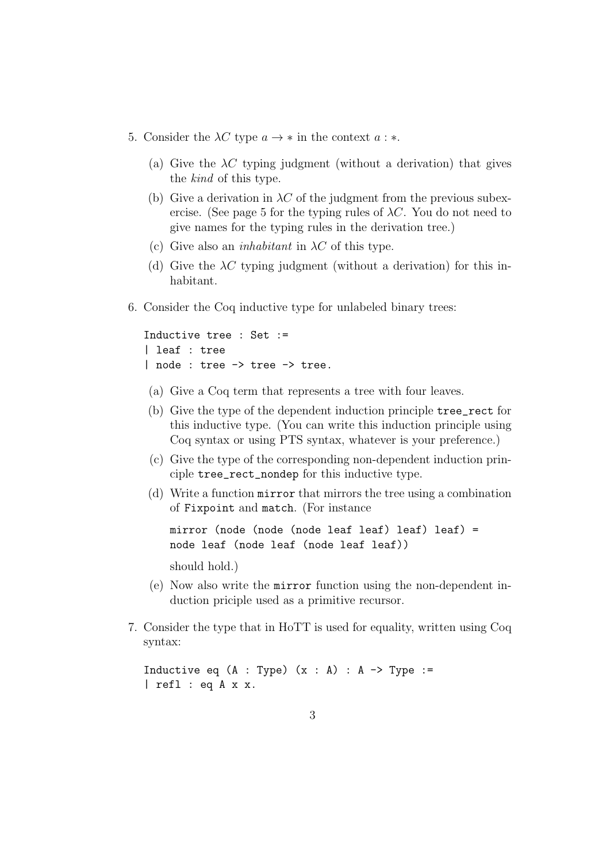- 5. Consider the  $\lambda C$  type  $a \to *$  in the context  $a : *$ .
	- (a) Give the  $\lambda C$  typing judgment (without a derivation) that gives the *kind* of this type.
	- (b) Give a derivation in  $\lambda C$  of the judgment from the previous subexercise. (See page 5 for the typing rules of  $\lambda C$ . You do not need to give names for the typing rules in the derivation tree.)
	- (c) Give also an *inhabitant* in *λC* of this type.
	- (d) Give the  $\lambda C$  typing judgment (without a derivation) for this inhabitant.
- 6. Consider the Coq inductive type for unlabeled binary trees:

```
Inductive tree : Set :=
| leaf : tree
| node : tree -> tree -> tree.
```
- (a) Give a Coq term that represents a tree with four leaves.
- (b) Give the type of the dependent induction principle tree\_rect for this inductive type. (You can write this induction principle using Coq syntax or using PTS syntax, whatever is your preference.)
- (c) Give the type of the corresponding non-dependent induction principle tree\_rect\_nondep for this inductive type.
- (d) Write a function mirror that mirrors the tree using a combination of Fixpoint and match. (For instance

mirror (node (node (node leaf leaf) leaf) leaf) = node leaf (node leaf (node leaf leaf))

should hold.)

- (e) Now also write the mirror function using the non-dependent induction priciple used as a primitive recursor.
- 7. Consider the type that in HoTT is used for equality, written using Coq syntax:

Inductive eq  $(A : Type)$   $(x : A) : A \rightarrow Type :=$ | refl : eq A x x.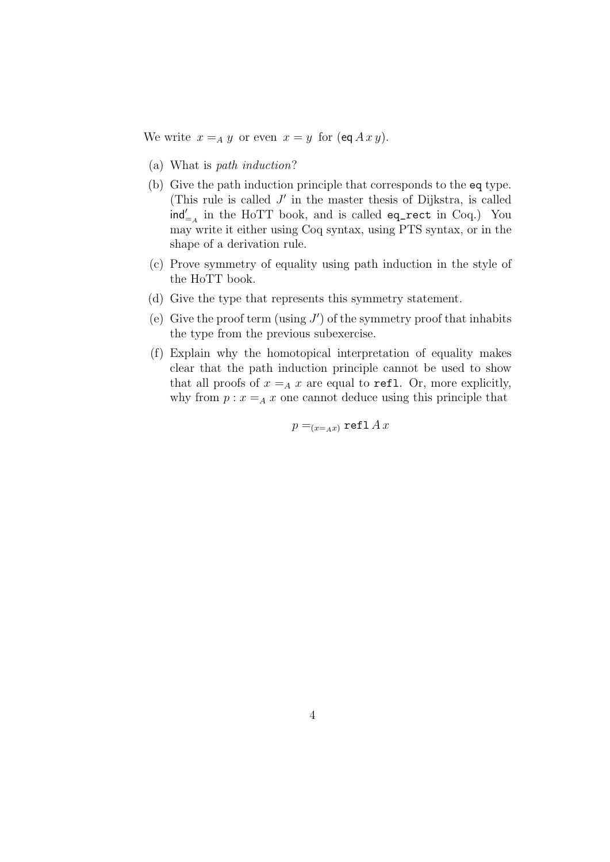We write  $x =_A y$  or even  $x = y$  for  $(\text{eq } A x y)$ .

- (a) What is *path induction*?
- (b) Give the path induction principle that corresponds to the eq type. (This rule is called *J ′* in the master thesis of Dijkstra, is called ind*′* =*<sup>A</sup>* in the HoTT book, and is called eq\_rect in Coq.) You may write it either using Coq syntax, using PTS syntax, or in the shape of a derivation rule.
- (c) Prove symmetry of equality using path induction in the style of the HoTT book.
- (d) Give the type that represents this symmetry statement.
- (e) Give the proof term (using *J ′* ) of the symmetry proof that inhabits the type from the previous subexercise.
- (f) Explain why the homotopical interpretation of equality makes clear that the path induction principle cannot be used to show that all proofs of  $x = A x$  are equal to refl. Or, more explicitly, why from  $p: x = A x$  one cannot deduce using this principle that

 $p = (x = Ax)$  refl *Ax*